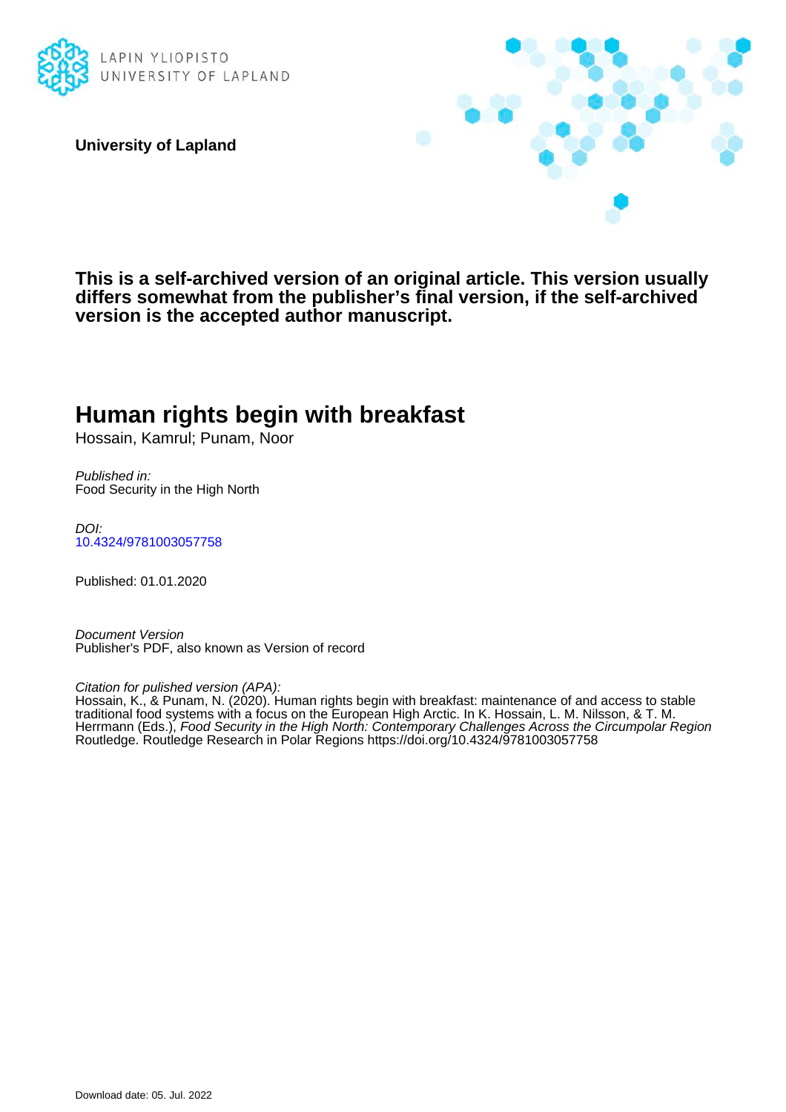

**University of Lapland**



**This is a self-archived version of an original article. This version usually differs somewhat from the publisher's final version, if the self-archived version is the accepted author manuscript.**

# **Human rights begin with breakfast**

Hossain, Kamrul; Punam, Noor

Published in: Food Security in the High North

DOI: [10.4324/9781003057758](https://doi.org/10.4324/9781003057758)

Published: 01.01.2020

Document Version Publisher's PDF, also known as Version of record

Citation for pulished version (APA):

Hossain, K., & Punam, N. (2020). Human rights begin with breakfast: maintenance of and access to stable traditional food systems with a focus on the European High Arctic. In K. Hossain, L. M. Nilsson, & T. M. Herrmann (Eds.), Food Security in the High North: Contemporary Challenges Across the Circumpolar Region Routledge. Routledge Research in Polar Regions<https://doi.org/10.4324/9781003057758>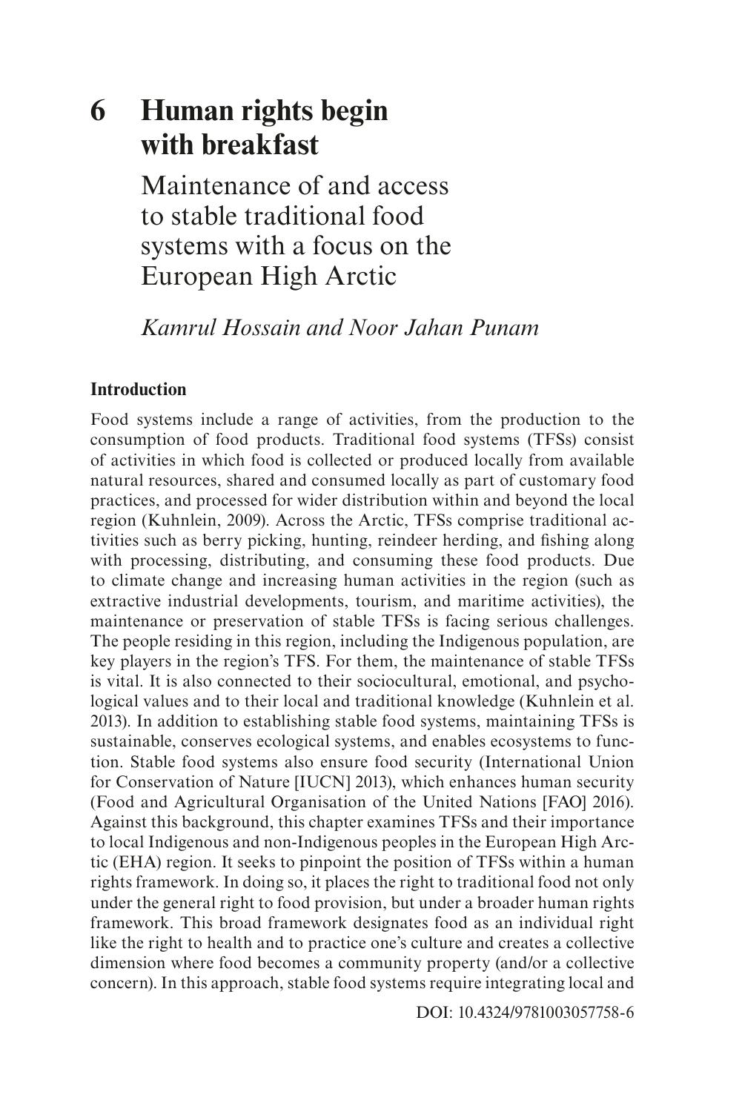## **6 Human rights begin with breakfast**

Maintenance of and access to stable traditional food systems with a focus on the European High Arctic

*Kamrul Hossain and Noor Jahan Punam*

## **Introduction**

Food systems include a range of activities, from the production to the consumption of food products. Traditional food systems (TFSs) consist of activities in which food is collected or produced locally from available natural resources, shared and consumed locally as part of customary food practices, and processed for wider distribution within and beyond the local region (Kuhnlein, 2009). Across the Arctic, TFSs comprise traditional activities such as berry picking, hunting, reindeer herding, and fshing along with processing, distributing, and consuming these food products. Due to climate change and increasing human activities in the region (such as extractive industrial developments, tourism, and maritime activities), the maintenance or preservation of stable TFSs is facing serious challenges. The people residing in this region, including the Indigenous population, are key players in the region's TFS. For them, the maintenance of stable TFSs is vital. It is also connected to their sociocultural, emotional, and psychological values and to their local and traditional knowledge (Kuhnlein et al. 2013). In addition to establishing stable food systems, maintaining TFSs is sustainable, conserves ecological systems, and enables ecosystems to function. Stable food systems also ensure food security (International Union for Conservation of Nature [IUCN] 2013), which enhances human security (Food and Agricultural Organisation of the United Nations [FAO] 2016). Against this background, this chapter examines TFSs and their importance to local Indigenous and non-Indigenous peoples in the European High Arctic (EHA) region. It seeks to pinpoint the position of TFSs within a human rights framework. In doing so, it places the right to traditional food not only under the general right to food provision, but under a broader human rights framework. This broad framework designates food as an individual right like the right to health and to practice one's culture and creates a collective dimension where food becomes a community property (and/or a collective concern). In this approach, stable food systems require integrating local and

[DOI: 10.4324/9781003057758-6](https://doi.org/10.4324/9781003057758-6)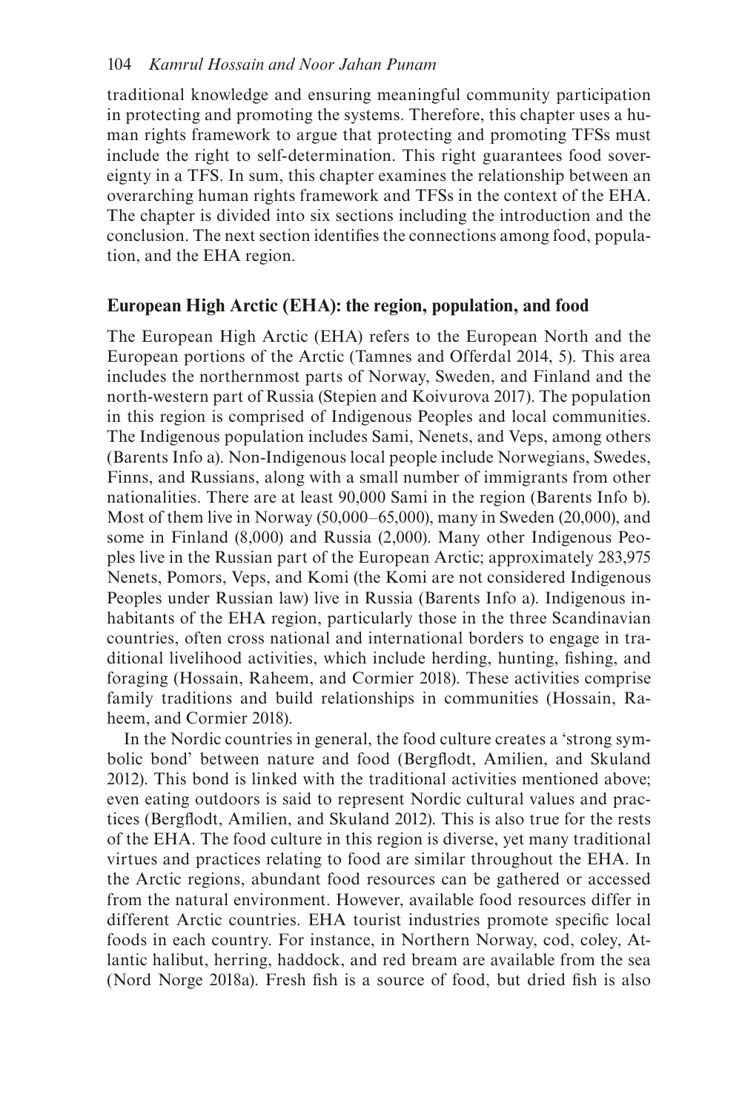traditional knowledge and ensuring meaningful community participation in protecting and promoting the systems. Therefore, this chapter uses a human rights framework to argue that protecting and promoting TFSs must include the right to self-determination. This right guarantees food sovereignty in a TFS. In sum, this chapter examines the relationship between an overarching human rights framework and TFSs in the context of the EHA. The chapter is divided into six sections including the introduction and the conclusion. The next section identifes the connections among food, population, and the EHA region.

## **European High Arctic (EHA): the region, population, and food**

The European High Arctic (EHA) refers to the European North and the European portions of the Arctic (Tamnes and Offerdal 2014, 5). This area includes the northernmost parts of Norway, Sweden, and Finland and the north-western part of Russia (Stepien and Koivurova 2017). The population in this region is comprised of Indigenous Peoples and local communities. The Indigenous population includes Sami, Nenets, and Veps, among others (Barents Info a). Non-Indigenous local people include Norwegians, Swedes, Finns, and Russians, along with a small number of immigrants from other nationalities. There are at least 90,000 Sami in the region (Barents Info b). Most of them live in Norway (50,000–65,000), many in Sweden (20,000), and some in Finland (8,000) and Russia (2,000). Many other Indigenous Peoples live in the Russian part of the European Arctic; approximately 283,975 Nenets, Pomors, Veps, and Komi (the Komi are not considered Indigenous Peoples under Russian law) live in Russia (Barents Info a). Indigenous inhabitants of the EHA region, particularly those in the three Scandinavian countries, often cross national and international borders to engage in traditional livelihood activities, which include herding, hunting, fshing, and foraging (Hossain, Raheem, and Cormier 2018). These activities comprise family traditions and build relationships in communities (Hossain, Raheem, and Cormier 2018).

In the Nordic countries in general, the food culture creates a 'strong symbolic bond' between nature and food (Bergfodt, Amilien, and Skuland 2012). This bond is linked with the traditional activities mentioned above; even eating outdoors is said to represent Nordic cultural values and practices (Bergfodt, Amilien, and Skuland 2012). This is also true for the rests of the EHA. The food culture in this region is diverse, yet many traditional virtues and practices relating to food are similar throughout the EHA. In the Arctic regions, abundant food resources can be gathered or accessed from the natural environment. However, available food resources differ in different Arctic countries. EHA tourist industries promote specifc local foods in each country. For instance, in Northern Norway, cod, coley, Atlantic halibut, herring, haddock, and red bream are available from the sea (Nord Norge 2018a). Fresh fish is a source of food, but dried fish is also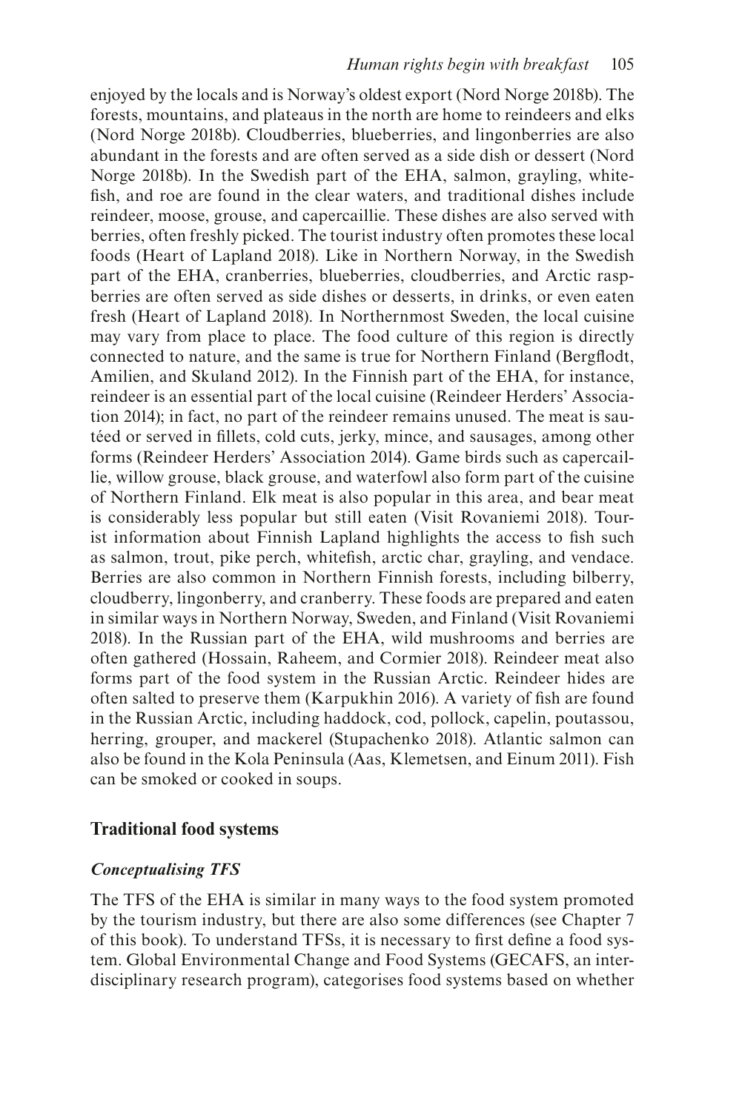enjoyed by the locals and is Norway's oldest export (Nord Norge 2018b). The forests, mountains, and plateaus in the north are home to reindeers and elks (Nord Norge 2018b). Cloudberries, blueberries, and lingonberries are also abundant in the forests and are often served as a side dish or dessert (Nord Norge 2018b). In the Swedish part of the EHA, salmon, grayling, whitefsh, and roe are found in the clear waters, and traditional dishes include reindeer, moose, grouse, and capercaillie. These dishes are also served with berries, often freshly picked. The tourist industry often promotes these local foods (Heart of Lapland 2018). Like in Northern Norway, in the Swedish part of the EHA, cranberries, blueberries, cloudberries, and Arctic raspberries are often served as side dishes or desserts, in drinks, or even eaten fresh (Heart of Lapland 2018). In Northernmost Sweden, the local cuisine may vary from place to place. The food culture of this region is directly connected to nature, and the same is true for Northern Finland (Bergfodt, Amilien, and Skuland 2012). In the Finnish part of the EHA, for instance, reindeer is an essential part of the local cuisine (Reindeer Herders' Association 2014); in fact, no part of the reindeer remains unused. The meat is sautéed or served in fllets, cold cuts, jerky, mince, and sausages, among other forms (Reindeer Herders' Association 2014). Game birds such as capercaillie, willow grouse, black grouse, and waterfowl also form part of the cuisine of Northern Finland. Elk meat is also popular in this area, and bear meat is considerably less popular but still eaten (Visit Rovaniemi 2018). Tourist information about Finnish Lapland highlights the access to fsh such as salmon, trout, pike perch, whitefsh, arctic char, grayling, and vendace. Berries are also common in Northern Finnish forests, including bilberry, cloudberry, lingonberry, and cranberry. These foods are prepared and eaten in similar ways in Northern Norway, Sweden, and Finland (Visit Rovaniemi 2018). In the Russian part of the EHA, wild mushrooms and berries are often gathered (Hossain, Raheem, and Cormier 2018). Reindeer meat also forms part of the food system in the Russian Arctic. Reindeer hides are often salted to preserve them (Karpukhin 2016). A variety of fsh are found in the Russian Arctic, including haddock, cod, pollock, capelin, poutassou, herring, grouper, and mackerel (Stupachenko 2018). Atlantic salmon can also be found in the Kola Peninsula (Aas, Klemetsen, and Einum 2011). Fish can be smoked or cooked in soups.

## **Traditional food systems**

## *Conceptualising TFS*

The TFS of the EHA is similar in many ways to the food system promoted by the tourism industry, but there are also some differences (see Chapter 7 of this book). To understand TFSs, it is necessary to frst defne a food system. Global Environmental Change and Food Systems (GECAFS, an interdisciplinary research program), categorises food systems based on whether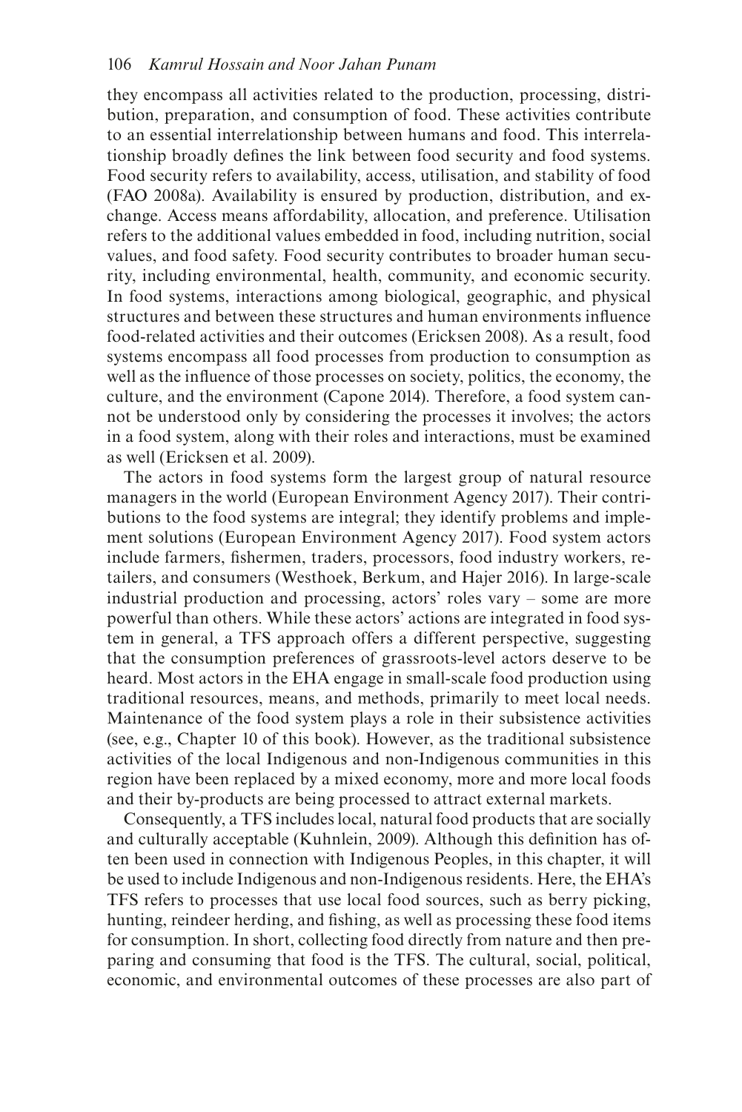they encompass all activities related to the production, processing, distribution, preparation, and consumption of food. These activities contribute to an essential interrelationship between humans and food. This interrelationship broadly defnes the link between food security and food systems. Food security refers to availability, access, utilisation, and stability of food (FAO 2008a). Availability is ensured by production, distribution, and exchange. Access means affordability, allocation, and preference. Utilisation refers to the additional values embedded in food, including nutrition, social values, and food safety. Food security contributes to broader human security, including environmental, health, community, and economic security. In food systems, interactions among biological, geographic, and physical structures and between these structures and human environments infuence food-related activities and their outcomes (Ericksen 2008). As a result, food systems encompass all food processes from production to consumption as well as the infuence of those processes on society, politics, the economy, the culture, and the environment (Capone 2014). Therefore, a food system cannot be understood only by considering the processes it involves; the actors in a food system, along with their roles and interactions, must be examined as well (Ericksen et al. 2009).

The actors in food systems form the largest group of natural resource managers in the world (European Environment Agency 2017). Their contributions to the food systems are integral; they identify problems and implement solutions (European Environment Agency 2017). Food system actors include farmers, fshermen, traders, processors, food industry workers, retailers, and consumers (Westhoek, Berkum, and Hajer 2016). In large-scale industrial production and processing, actors' roles vary – some are more powerful than others. While these actors' actions are integrated in food system in general, a TFS approach offers a different perspective, suggesting that the consumption preferences of grassroots-level actors deserve to be heard. Most actors in the EHA engage in small-scale food production using traditional resources, means, and methods, primarily to meet local needs. Maintenance of the food system plays a role in their subsistence activities (see, e.g., Chapter 10 of this book). However, as the traditional subsistence activities of the local Indigenous and non-Indigenous communities in this region have been replaced by a mixed economy, more and more local foods and their by-products are being processed to attract external markets.

Consequently, a TFS includes local, natural food products that are socially and culturally acceptable (Kuhnlein, 2009). Although this defnition has often been used in connection with Indigenous Peoples, in this chapter, it will be used to include Indigenous and non-Indigenous residents. Here, the EHA's TFS refers to processes that use local food sources, such as berry picking, hunting, reindeer herding, and fshing, as well as processing these food items for consumption. In short, collecting food directly from nature and then preparing and consuming that food is the TFS. The cultural, social, political, economic, and environmental outcomes of these processes are also part of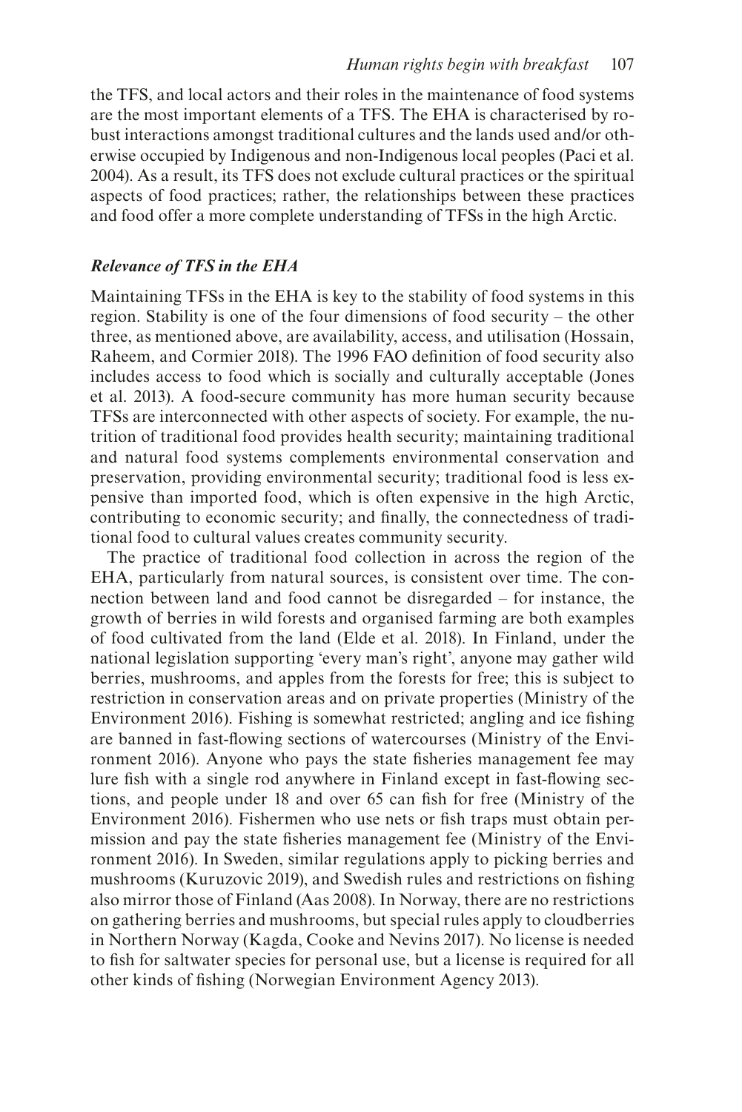the TFS, and local actors and their roles in the maintenance of food systems are the most important elements of a TFS. The EHA is characterised by robust interactions amongst traditional cultures and the lands used and/or otherwise occupied by Indigenous and non-Indigenous local peoples (Paci et al. 2004). As a result, its TFS does not exclude cultural practices or the spiritual aspects of food practices; rather, the relationships between these practices and food offer a more complete understanding of TFSs in the high Arctic.

#### *Relevance of TFS in the EHA*

Maintaining TFSs in the EHA is key to the stability of food systems in this region. Stability is one of the four dimensions of food security – the other three, as mentioned above, are availability, access, and utilisation (Hossain, Raheem, and Cormier 2018). The 1996 FAO defnition of food security also includes access to food which is socially and culturally acceptable (Jones et al. 2013). A food-secure community has more human security because TFSs are interconnected with other aspects of society. For example, the nutrition of traditional food provides health security; maintaining traditional and natural food systems complements environmental conservation and preservation, providing environmental security; traditional food is less expensive than imported food, which is often expensive in the high Arctic, contributing to economic security; and fnally, the connectedness of traditional food to cultural values creates community security.

The practice of traditional food collection in across the region of the EHA, particularly from natural sources, is consistent over time. The connection between land and food cannot be disregarded – for instance, the growth of berries in wild forests and organised farming are both examples of food cultivated from the land (Elde et al. 2018). In Finland, under the national legislation supporting 'every man's right', anyone may gather wild berries, mushrooms, and apples from the forests for free; this is subject to restriction in conservation areas and on private properties (Ministry of the Environment 2016). Fishing is somewhat restricted; angling and ice fshing are banned in fast-fowing sections of watercourses (Ministry of the Environment 2016). Anyone who pays the state fsheries management fee may lure fsh with a single rod anywhere in Finland except in fast-fowing sections, and people under 18 and over 65 can fsh for free (Ministry of the Environment 2016). Fishermen who use nets or fsh traps must obtain permission and pay the state fsheries management fee (Ministry of the Environment 2016). In Sweden, similar regulations apply to picking berries and mushrooms (Kuruzovic 2019), and Swedish rules and restrictions on fshing also mirror those of Finland (Aas 2008). In Norway, there are no restrictions on gathering berries and mushrooms, but special rules apply to cloudberries in Northern Norway (Kagda, Cooke and Nevins 2017). No license is needed to fsh for saltwater species for personal use, but a license is required for all other kinds of fshing (Norwegian Environment Agency 2013).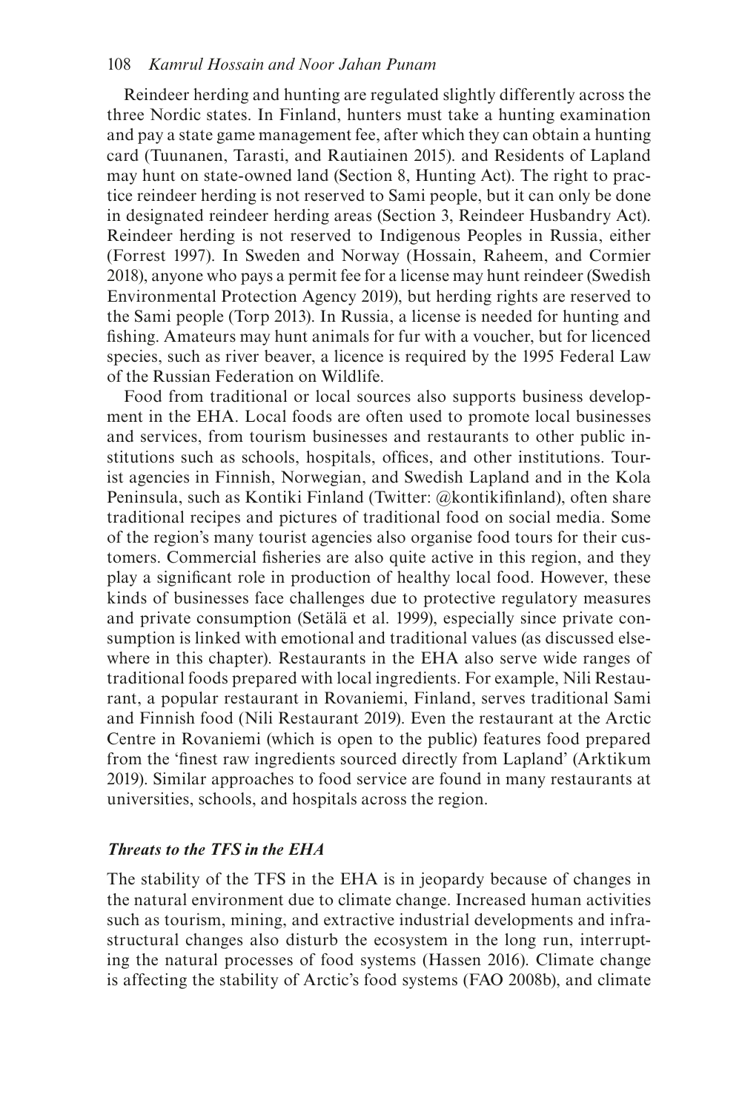#### 108 *Kamrul Hossain and Noor Jahan Punam*

Reindeer herding and hunting are regulated slightly differently across the three Nordic states. In Finland, hunters must take a hunting examination and pay a state game management fee, after which they can obtain a hunting card (Tuunanen, Tarasti, and Rautiainen 2015). and Residents of Lapland may hunt on state-owned land (Section 8, Hunting Act). The right to practice reindeer herding is not reserved to Sami people, but it can only be done in designated reindeer herding areas (Section 3, Reindeer Husbandry Act). Reindeer herding is not reserved to Indigenous Peoples in Russia, either (Forrest 1997). In Sweden and Norway (Hossain, Raheem, and Cormier 2018), anyone who pays a permit fee for a license may hunt reindeer (Swedish Environmental Protection Agency 2019), but herding rights are reserved to the Sami people (Torp 2013). In Russia, a license is needed for hunting and fshing. Amateurs may hunt animals for fur with a voucher, but for licenced species, such as river beaver, a licence is required by the 1995 Federal Law of the Russian Federation on Wildlife.

Food from traditional or local sources also supports business development in the EHA. Local foods are often used to promote local businesses and services, from tourism businesses and restaurants to other public institutions such as schools, hospitals, offces, and other institutions. Tourist agencies in Finnish, Norwegian, and Swedish Lapland and in the Kola Peninsula, such as Kontiki Finland (Twitter: @kontikifnland), often share traditional recipes and pictures of traditional food on social media. Some of the region's many tourist agencies also organise food tours for their customers. Commercial fsheries are also quite active in this region, and they play a signifcant role in production of healthy local food. However, these kinds of businesses face challenges due to protective regulatory measures and private consumption (Setälä et al. 1999), especially since private consumption is linked with emotional and traditional values (as discussed elsewhere in this chapter). Restaurants in the EHA also serve wide ranges of traditional foods prepared with local ingredients. For example, Nili Restaurant, a popular restaurant in Rovaniemi, Finland, serves traditional Sami and Finnish food (Nili Restaurant 2019). Even the restaurant at the Arctic Centre in Rovaniemi (which is open to the public) features food prepared from the 'fnest raw ingredients sourced directly from Lapland' (Arktikum 2019). Similar approaches to food service are found in many restaurants at universities, schools, and hospitals across the region.

#### *Threats to the TFS in the EHA*

The stability of the TFS in the EHA is in jeopardy because of changes in the natural environment due to climate change. Increased human activities such as tourism, mining, and extractive industrial developments and infrastructural changes also disturb the ecosystem in the long run, interrupting the natural processes of food systems (Hassen 2016). Climate change is affecting the stability of Arctic's food systems (FAO 2008b), and climate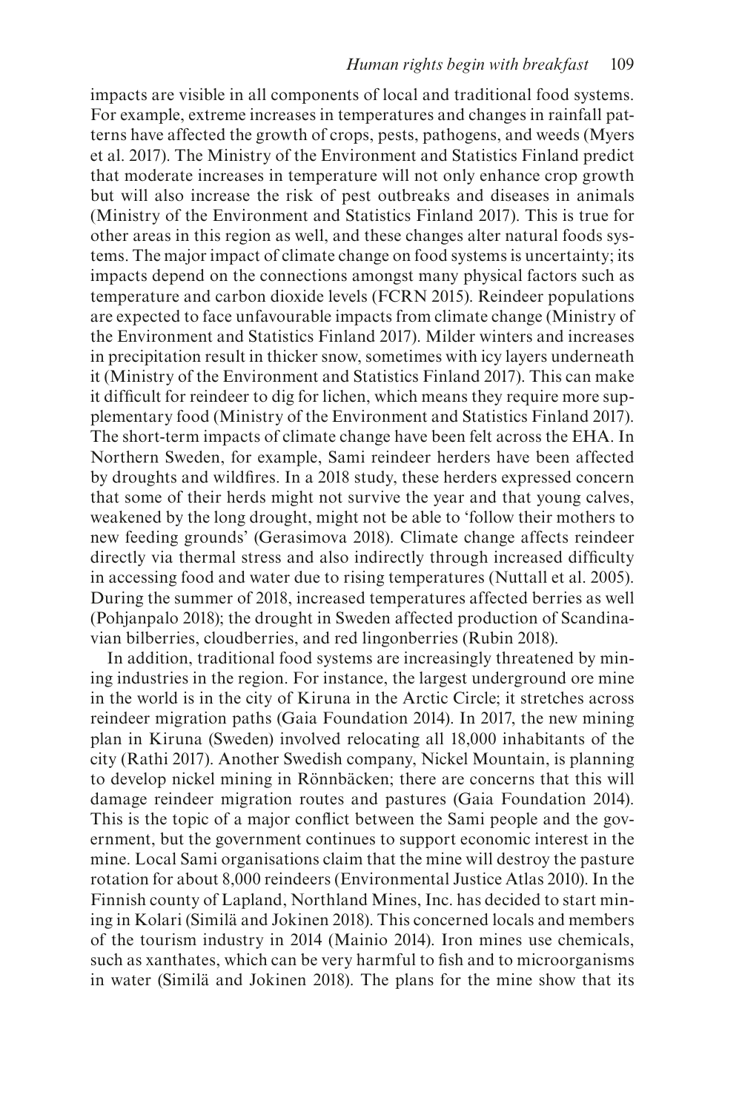impacts are visible in all components of local and traditional food systems. For example, extreme increases in temperatures and changes in rainfall patterns have affected the growth of crops, pests, pathogens, and weeds (Myers et al. 2017). The Ministry of the Environment and Statistics Finland predict that moderate increases in temperature will not only enhance crop growth but will also increase the risk of pest outbreaks and diseases in animals (Ministry of the Environment and Statistics Finland 2017). This is true for other areas in this region as well, and these changes alter natural foods systems. The major impact of climate change on food systems is uncertainty; its impacts depend on the connections amongst many physical factors such as temperature and carbon dioxide levels (FCRN 2015). Reindeer populations are expected to face unfavourable impacts from climate change (Ministry of the Environment and Statistics Finland 2017). Milder winters and increases in precipitation result in thicker snow, sometimes with icy layers underneath it (Ministry of the Environment and Statistics Finland 2017). This can make it diffcult for reindeer to dig for lichen, which means they require more supplementary food (Ministry of the Environment and Statistics Finland 2017). The short-term impacts of climate change have been felt across the EHA. In Northern Sweden, for example, Sami reindeer herders have been affected by droughts and wildfres. In a 2018 study, these herders expressed concern that some of their herds might not survive the year and that young calves, weakened by the long drought, might not be able to 'follow their mothers to new feeding grounds' (Gerasimova 2018). Climate change affects reindeer directly via thermal stress and also indirectly through increased diffculty in accessing food and water due to rising temperatures (Nuttall et al. 2005). During the summer of 2018, increased temperatures affected berries as well (Pohjanpalo 2018); the drought in Sweden affected production of Scandinavian bilberries, cloudberries, and red lingonberries (Rubin 2018).

In addition, traditional food systems are increasingly threatened by mining industries in the region. For instance, the largest underground ore mine in the world is in the city of Kiruna in the Arctic Circle; it stretches across reindeer migration paths (Gaia Foundation 2014). In 2017, the new mining plan in Kiruna (Sweden) involved relocating all 18,000 inhabitants of the city (Rathi 2017). Another Swedish company, Nickel Mountain, is planning to develop nickel mining in Rönnbäcken; there are concerns that this will damage reindeer migration routes and pastures (Gaia Foundation 2014). This is the topic of a major confict between the Sami people and the government, but the government continues to support economic interest in the mine. Local Sami organisations claim that the mine will destroy the pasture rotation for about 8,000 reindeers (Environmental Justice Atlas 2010). In the Finnish county of Lapland, Northland Mines, Inc. has decided to start mining in Kolari (Similä and Jokinen 2018). This concerned locals and members of the tourism industry in 2014 (Mainio 2014). Iron mines use chemicals, such as xanthates, which can be very harmful to fish and to microorganisms in water (Similä and Jokinen 2018). The plans for the mine show that its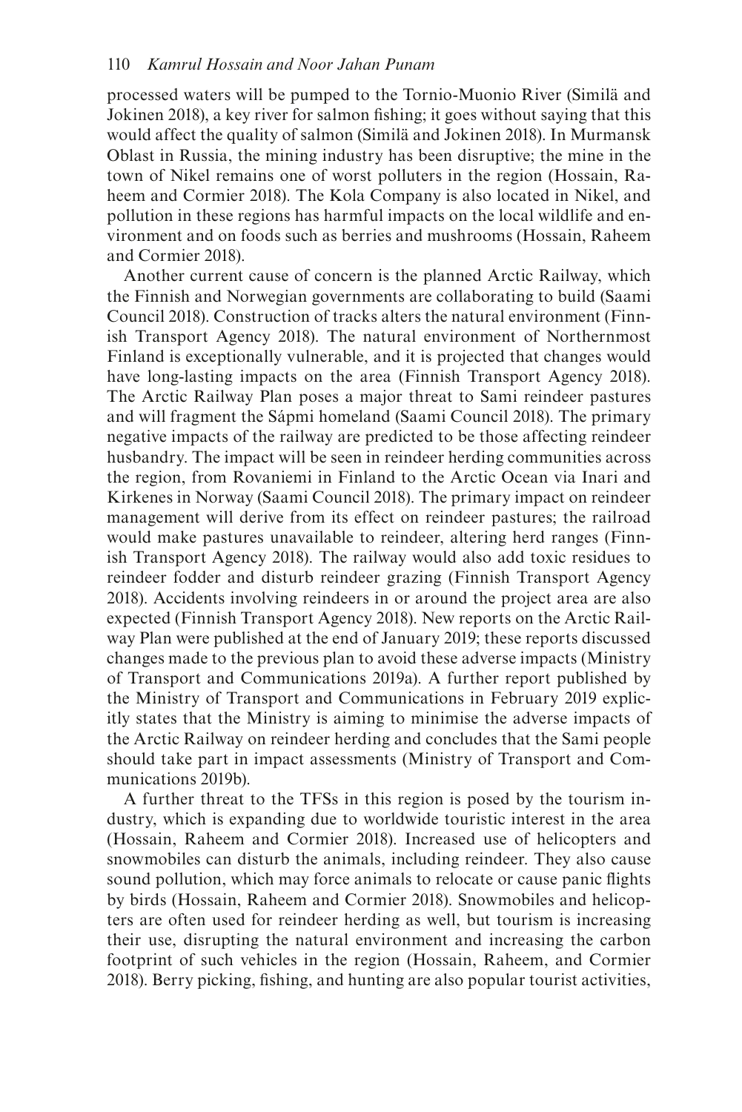processed waters will be pumped to the Tornio-Muonio River (Similä and Jokinen 2018), a key river for salmon fshing; it goes without saying that this would affect the quality of salmon (Similä and Jokinen 2018). In Murmansk Oblast in Russia, the mining industry has been disruptive; the mine in the town of Nikel remains one of worst polluters in the region (Hossain, Raheem and Cormier 2018). The Kola Company is also located in Nikel, and pollution in these regions has harmful impacts on the local wildlife and environment and on foods such as berries and mushrooms (Hossain, Raheem and Cormier 2018).

Another current cause of concern is the planned Arctic Railway, which the Finnish and Norwegian governments are collaborating to build (Saami Council 2018). Construction of tracks alters the natural environment (Finnish Transport Agency 2018). The natural environment of Northernmost Finland is exceptionally vulnerable, and it is projected that changes would have long-lasting impacts on the area (Finnish Transport Agency 2018). The Arctic Railway Plan poses a major threat to Sami reindeer pastures and will fragment the Sápmi homeland (Saami Council 2018). The primary negative impacts of the railway are predicted to be those affecting reindeer husbandry. The impact will be seen in reindeer herding communities across the region, from Rovaniemi in Finland to the Arctic Ocean via Inari and Kirkenes in Norway (Saami Council 2018). The primary impact on reindeer management will derive from its effect on reindeer pastures; the railroad would make pastures unavailable to reindeer, altering herd ranges (Finnish Transport Agency 2018). The railway would also add toxic residues to reindeer fodder and disturb reindeer grazing (Finnish Transport Agency 2018). Accidents involving reindeers in or around the project area are also expected (Finnish Transport Agency 2018). New reports on the Arctic Railway Plan were published at the end of January 2019; these reports discussed changes made to the previous plan to avoid these adverse impacts (Ministry of Transport and Communications 2019a). A further report published by the Ministry of Transport and Communications in February 2019 explicitly states that the Ministry is aiming to minimise the adverse impacts of the Arctic Railway on reindeer herding and concludes that the Sami people should take part in impact assessments (Ministry of Transport and Communications 2019b).

A further threat to the TFSs in this region is posed by the tourism industry, which is expanding due to worldwide touristic interest in the area (Hossain, Raheem and Cormier 2018). Increased use of helicopters and snowmobiles can disturb the animals, including reindeer. They also cause sound pollution, which may force animals to relocate or cause panic fights by birds (Hossain, Raheem and Cormier 2018). Snowmobiles and helicopters are often used for reindeer herding as well, but tourism is increasing their use, disrupting the natural environment and increasing the carbon footprint of such vehicles in the region (Hossain, Raheem, and Cormier 2018). Berry picking, fshing, and hunting are also popular tourist activities,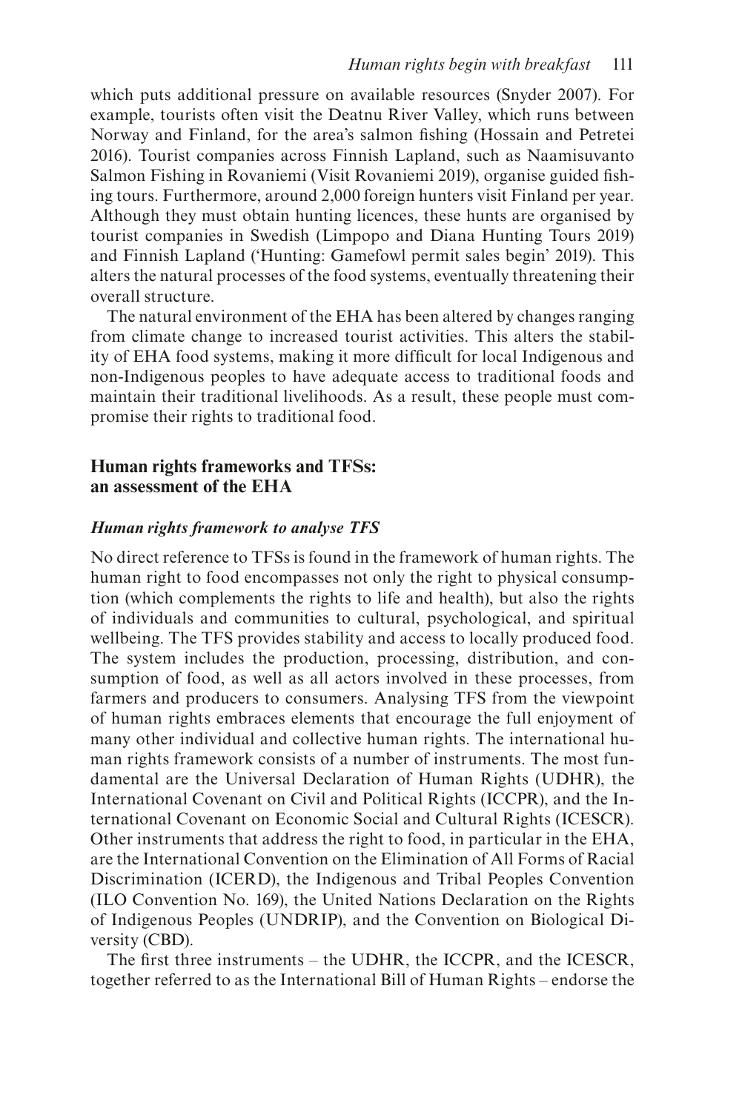which puts additional pressure on available resources (Snyder 2007). For example, tourists often visit the Deatnu River Valley, which runs between Norway and Finland, for the area's salmon fshing (Hossain and Petretei 2016). Tourist companies across Finnish Lapland, such as Naamisuvanto Salmon Fishing in Rovaniemi (Visit Rovaniemi 2019), organise guided fshing tours. Furthermore, around 2,000 foreign hunters visit Finland per year. Although they must obtain hunting licences, these hunts are organised by tourist companies in Swedish (Limpopo and Diana Hunting Tours 2019) and Finnish Lapland ('Hunting: Gamefowl permit sales begin' 2019). This alters the natural processes of the food systems, eventually threatening their overall structure.

The natural environment of the EHA has been altered by changes ranging from climate change to increased tourist activities. This alters the stability of EHA food systems, making it more diffcult for local Indigenous and non-Indigenous peoples to have adequate access to traditional foods and maintain their traditional livelihoods. As a result, these people must compromise their rights to traditional food.

## **Human rights frameworks and TFSs: an assessment of the EHA**

#### *Human rights framework to analyse TFS*

No direct reference to TFSs is found in the framework of human rights. The human right to food encompasses not only the right to physical consumption (which complements the rights to life and health), but also the rights of individuals and communities to cultural, psychological, and spiritual wellbeing. The TFS provides stability and access to locally produced food. The system includes the production, processing, distribution, and consumption of food, as well as all actors involved in these processes, from farmers and producers to consumers. Analysing TFS from the viewpoint of human rights embraces elements that encourage the full enjoyment of many other individual and collective human rights. The international human rights framework consists of a number of instruments. The most fundamental are the Universal Declaration of Human Rights (UDHR), the International Covenant on Civil and Political Rights (ICCPR), and the International Covenant on Economic Social and Cultural Rights (ICESCR). Other instruments that address the right to food, in particular in the EHA, are the International Convention on the Elimination of All Forms of Racial Discrimination (ICERD), the Indigenous and Tribal Peoples Convention (ILO Convention No. 169), the United Nations Declaration on the Rights of Indigenous Peoples (UNDRIP), and the Convention on Biological Diversity (CBD).

The frst three instruments – the UDHR, the ICCPR, and the ICESCR, together referred to as the International Bill of Human Rights – endorse the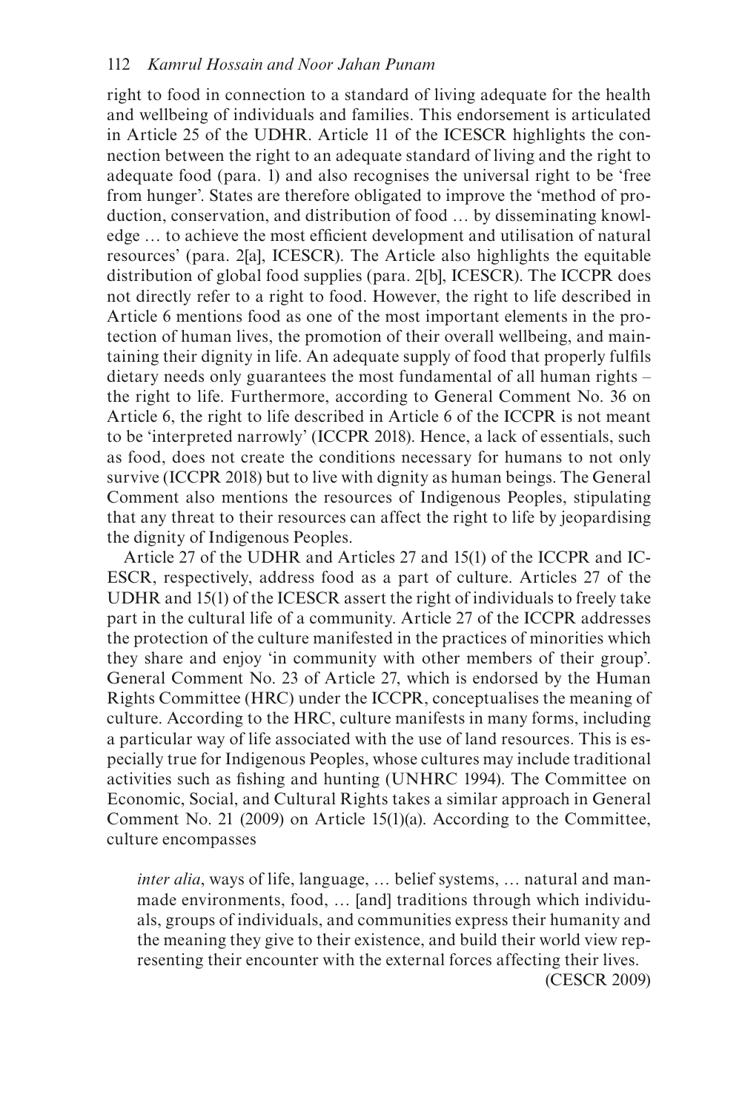right to food in connection to a standard of living adequate for the health and wellbeing of individuals and families. This endorsement is articulated in Article 25 of the UDHR. Article 11 of the ICESCR highlights the connection between the right to an adequate standard of living and the right to adequate food (para. 1) and also recognises the universal right to be 'free from hunger'. States are therefore obligated to improve the 'method of production, conservation, and distribution of food … by disseminating knowledge … to achieve the most effcient development and utilisation of natural resources' (para. 2[a], ICESCR). The Article also highlights the equitable distribution of global food supplies (para. 2[b], ICESCR). The ICCPR does not directly refer to a right to food. However, the right to life described in Article 6 mentions food as one of the most important elements in the protection of human lives, the promotion of their overall wellbeing, and maintaining their dignity in life. An adequate supply of food that properly fulfls dietary needs only guarantees the most fundamental of all human rights – the right to life. Furthermore, according to General Comment No. 36 on Article 6, the right to life described in Article 6 of the ICCPR is not meant to be 'interpreted narrowly' (ICCPR 2018). Hence, a lack of essentials, such as food, does not create the conditions necessary for humans to not only survive (ICCPR 2018) but to live with dignity as human beings. The General Comment also mentions the resources of Indigenous Peoples, stipulating that any threat to their resources can affect the right to life by jeopardising the dignity of Indigenous Peoples.

Article 27 of the UDHR and Articles 27 and 15(1) of the ICCPR and IC-ESCR, respectively, address food as a part of culture. Articles 27 of the UDHR and 15(1) of the ICESCR assert the right of individuals to freely take part in the cultural life of a community. Article 27 of the ICCPR addresses the protection of the culture manifested in the practices of minorities which they share and enjoy 'in community with other members of their group'. General Comment No. 23 of Article 27, which is endorsed by the Human Rights Committee (HRC) under the ICCPR, conceptualises the meaning of culture. According to the HRC, culture manifests in many forms, including a particular way of life associated with the use of land resources. This is especially true for Indigenous Peoples, whose cultures may include traditional activities such as fshing and hunting (UNHRC 1994). The Committee on Economic, Social, and Cultural Rights takes a similar approach in General Comment No. 21 (2009) on Article 15(1)(a). According to the Committee, culture encompasses

*inter alia*, ways of life, language, … belief systems, … natural and manmade environments, food, … [and] traditions through which individuals, groups of individuals, and communities express their humanity and the meaning they give to their existence, and build their world view representing their encounter with the external forces affecting their lives. (CESCR 2009)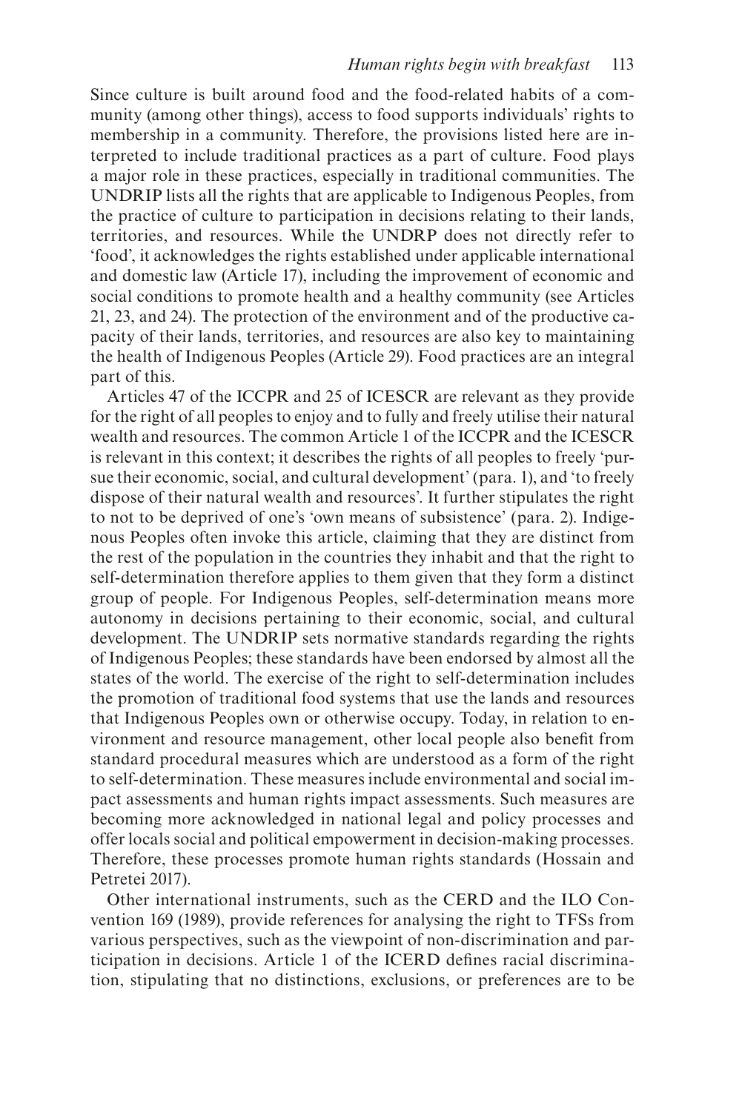Since culture is built around food and the food-related habits of a community (among other things), access to food supports individuals' rights to membership in a community. Therefore, the provisions listed here are interpreted to include traditional practices as a part of culture. Food plays a major role in these practices, especially in traditional communities. The UNDRIP lists all the rights that are applicable to Indigenous Peoples, from the practice of culture to participation in decisions relating to their lands, territories, and resources. While the UNDRP does not directly refer to 'food', it acknowledges the rights established under applicable international and domestic law (Article 17), including the improvement of economic and social conditions to promote health and a healthy community (see Articles 21, 23, and 24). The protection of the environment and of the productive capacity of their lands, territories, and resources are also key to maintaining the health of Indigenous Peoples (Article 29). Food practices are an integral part of this.

Articles 47 of the ICCPR and 25 of ICESCR are relevant as they provide for the right of all peoples to enjoy and to fully and freely utilise their natural wealth and resources. The common Article 1 of the ICCPR and the ICESCR is relevant in this context; it describes the rights of all peoples to freely 'pursue their economic, social, and cultural development' (para. 1), and 'to freely dispose of their natural wealth and resources'. It further stipulates the right to not to be deprived of one's 'own means of subsistence' (para. 2). Indigenous Peoples often invoke this article, claiming that they are distinct from the rest of the population in the countries they inhabit and that the right to self-determination therefore applies to them given that they form a distinct group of people. For Indigenous Peoples, self-determination means more autonomy in decisions pertaining to their economic, social, and cultural development. The UNDRIP sets normative standards regarding the rights of Indigenous Peoples; these standards have been endorsed by almost all the states of the world. The exercise of the right to self-determination includes the promotion of traditional food systems that use the lands and resources that Indigenous Peoples own or otherwise occupy. Today, in relation to environment and resource management, other local people also beneft from standard procedural measures which are understood as a form of the right to self-determination. These measures include environmental and social impact assessments and human rights impact assessments. Such measures are becoming more acknowledged in national legal and policy processes and offer locals social and political empowerment in decision-making processes. Therefore, these processes promote human rights standards (Hossain and Petretei 2017).

Other international instruments, such as the CERD and the ILO Convention 169 (1989), provide references for analysing the right to TFSs from various perspectives, such as the viewpoint of non-discrimination and participation in decisions. Article 1 of the ICERD defnes racial discrimination, stipulating that no distinctions, exclusions, or preferences are to be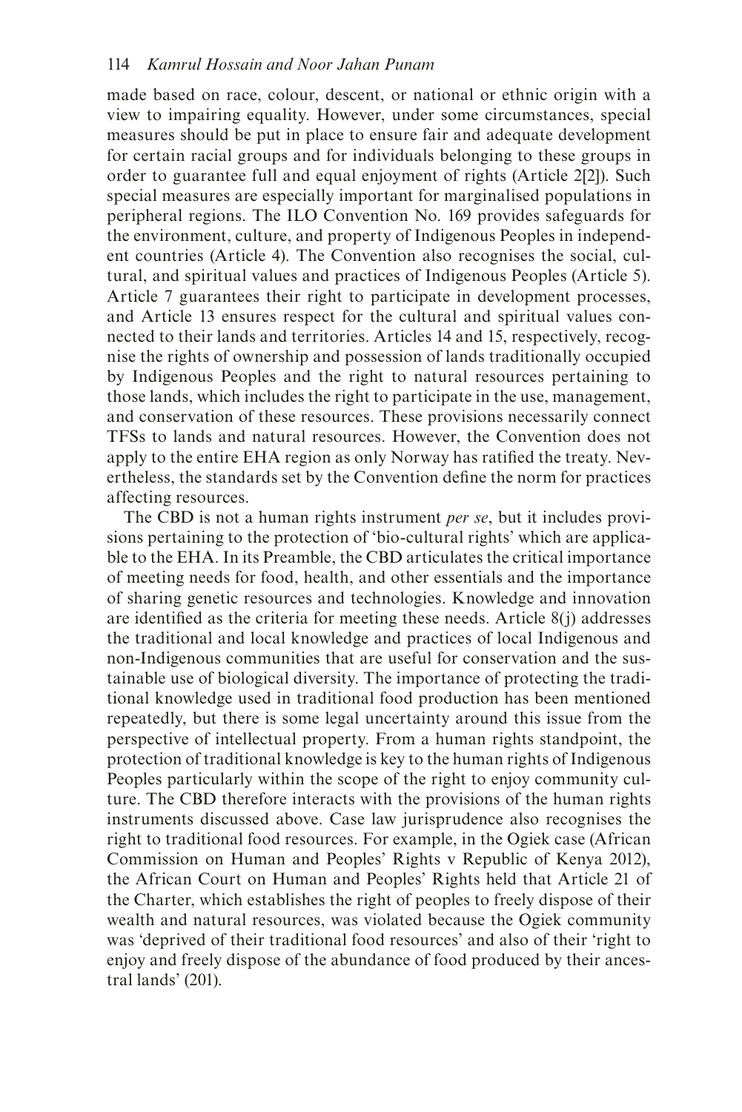made based on race, colour, descent, or national or ethnic origin with a view to impairing equality. However, under some circumstances, special measures should be put in place to ensure fair and adequate development for certain racial groups and for individuals belonging to these groups in order to guarantee full and equal enjoyment of rights (Article 2[2]). Such special measures are especially important for marginalised populations in peripheral regions. The ILO Convention No. 169 provides safeguards for the environment, culture, and property of Indigenous Peoples in independent countries (Article 4). The Convention also recognises the social, cultural, and spiritual values and practices of Indigenous Peoples (Article 5). Article 7 guarantees their right to participate in development processes, and Article 13 ensures respect for the cultural and spiritual values connected to their lands and territories. Articles 14 and 15, respectively, recognise the rights of ownership and possession of lands traditionally occupied by Indigenous Peoples and the right to natural resources pertaining to those lands, which includes the right to participate in the use, management, and conservation of these resources. These provisions necessarily connect TFSs to lands and natural resources. However, the Convention does not apply to the entire EHA region as only Norway has ratifed the treaty. Nevertheless, the standards set by the Convention defne the norm for practices affecting resources.

The CBD is not a human rights instrument *per se*, but it includes provisions pertaining to the protection of 'bio-cultural rights' which are applicable to the EHA. In its Preamble, the CBD articulates the critical importance of meeting needs for food, health, and other essentials and the importance of sharing genetic resources and technologies. Knowledge and innovation are identifed as the criteria for meeting these needs. Article 8(j) addresses the traditional and local knowledge and practices of local Indigenous and non-Indigenous communities that are useful for conservation and the sustainable use of biological diversity. The importance of protecting the traditional knowledge used in traditional food production has been mentioned repeatedly, but there is some legal uncertainty around this issue from the perspective of intellectual property. From a human rights standpoint, the protection of traditional knowledge is key to the human rights of Indigenous Peoples particularly within the scope of the right to enjoy community culture. The CBD therefore interacts with the provisions of the human rights instruments discussed above. Case law jurisprudence also recognises the right to traditional food resources. For example, in the Ogiek case (African Commission on Human and Peoples' Rights v Republic of Kenya 2012), the African Court on Human and Peoples' Rights held that Article 21 of the Charter, which establishes the right of peoples to freely dispose of their wealth and natural resources, was violated because the Ogiek community was 'deprived of their traditional food resources' and also of their 'right to enjoy and freely dispose of the abundance of food produced by their ancestral lands' (201).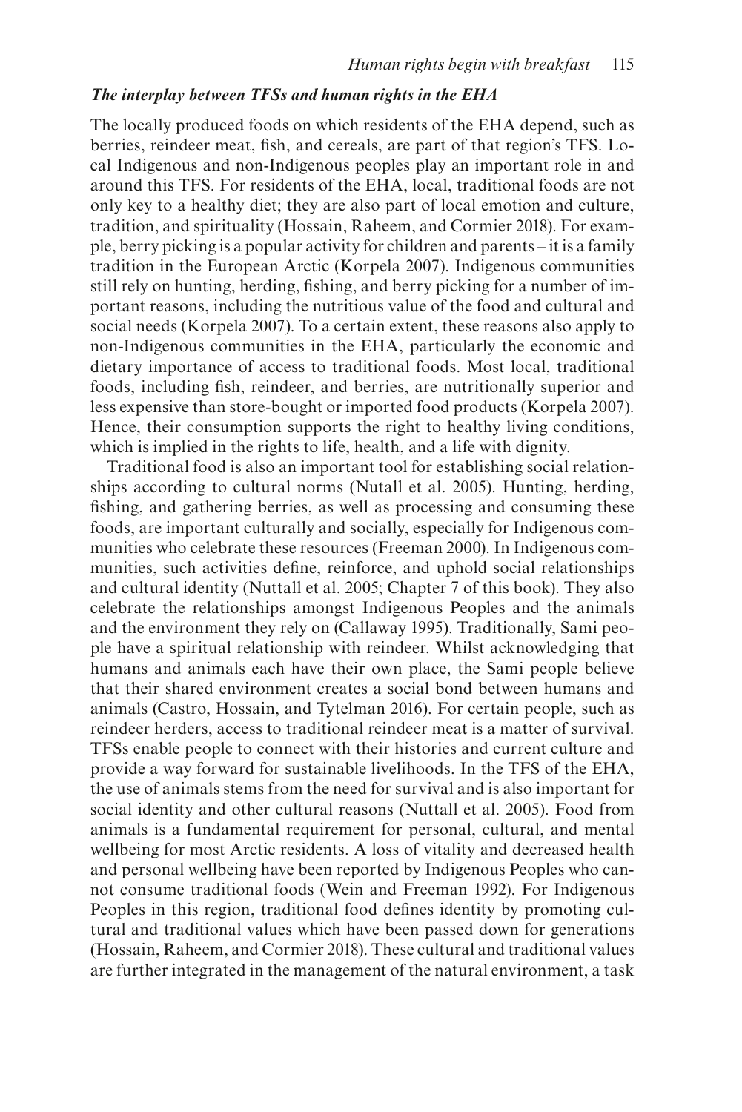#### *The interplay between TFSs and human rights in the EHA*

The locally produced foods on which residents of the EHA depend, such as berries, reindeer meat, fsh, and cereals, are part of that region's TFS. Local Indigenous and non-Indigenous peoples play an important role in and around this TFS. For residents of the EHA, local, traditional foods are not only key to a healthy diet; they are also part of local emotion and culture, tradition, and spirituality (Hossain, Raheem, and Cormier 2018). For example, berry picking is a popular activity for children and parents – it is a family tradition in the European Arctic (Korpela 2007). Indigenous communities still rely on hunting, herding, fshing, and berry picking for a number of important reasons, including the nutritious value of the food and cultural and social needs (Korpela 2007). To a certain extent, these reasons also apply to non-Indigenous communities in the EHA, particularly the economic and dietary importance of access to traditional foods. Most local, traditional foods, including fsh, reindeer, and berries, are nutritionally superior and less expensive than store-bought or imported food products (Korpela 2007). Hence, their consumption supports the right to healthy living conditions, which is implied in the rights to life, health, and a life with dignity.

Traditional food is also an important tool for establishing social relationships according to cultural norms (Nutall et al. 2005). Hunting, herding, fshing, and gathering berries, as well as processing and consuming these foods, are important culturally and socially, especially for Indigenous communities who celebrate these resources (Freeman 2000). In Indigenous communities, such activities defne, reinforce, and uphold social relationships and cultural identity (Nuttall et al. 2005; Chapter 7 of this book). They also celebrate the relationships amongst Indigenous Peoples and the animals and the environment they rely on (Callaway 1995). Traditionally, Sami people have a spiritual relationship with reindeer. Whilst acknowledging that humans and animals each have their own place, the Sami people believe that their shared environment creates a social bond between humans and animals (Castro, Hossain, and Tytelman 2016). For certain people, such as reindeer herders, access to traditional reindeer meat is a matter of survival. TFSs enable people to connect with their histories and current culture and provide a way forward for sustainable livelihoods. In the TFS of the EHA, the use of animals stems from the need for survival and is also important for social identity and other cultural reasons (Nuttall et al. 2005). Food from animals is a fundamental requirement for personal, cultural, and mental wellbeing for most Arctic residents. A loss of vitality and decreased health and personal wellbeing have been reported by Indigenous Peoples who cannot consume traditional foods (Wein and Freeman 1992). For Indigenous Peoples in this region, traditional food defnes identity by promoting cultural and traditional values which have been passed down for generations (Hossain, Raheem, and Cormier 2018). These cultural and traditional values are further integrated in the management of the natural environment, a task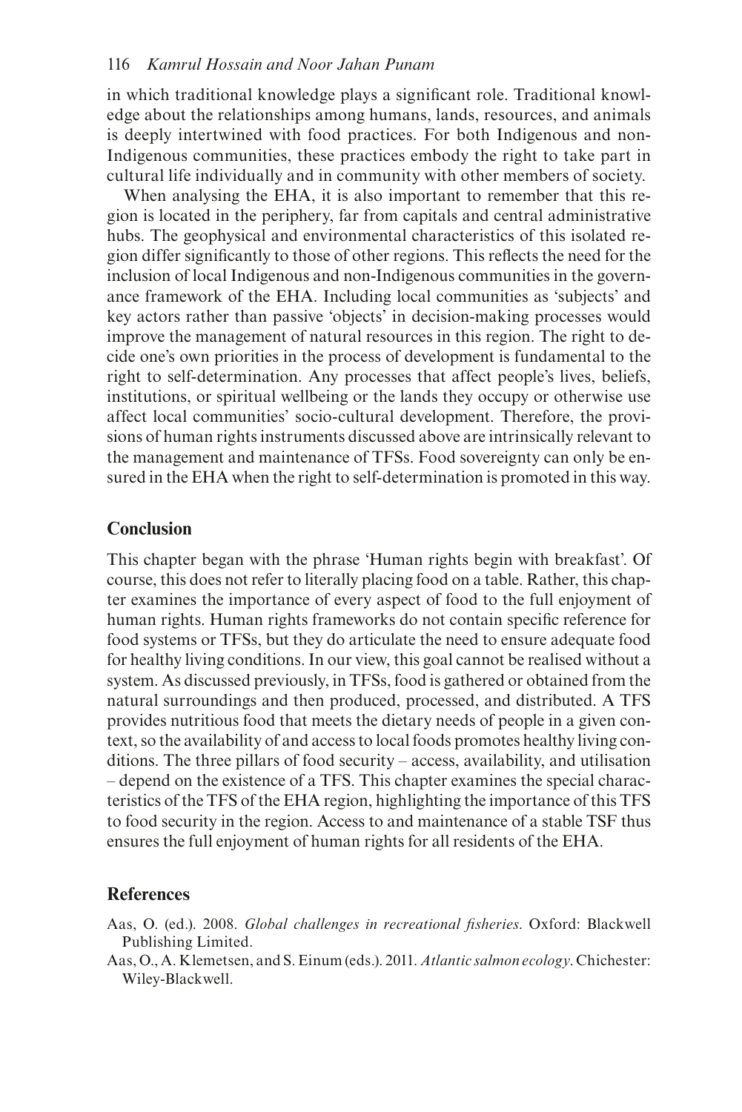in which traditional knowledge plays a signifcant role. Traditional knowledge about the relationships among humans, lands, resources, and animals is deeply intertwined with food practices. For both Indigenous and non-Indigenous communities, these practices embody the right to take part in cultural life individually and in community with other members of society.

When analysing the EHA, it is also important to remember that this region is located in the periphery, far from capitals and central administrative hubs. The geophysical and environmental characteristics of this isolated region differ signifcantly to those of other regions. This refects the need for the inclusion of local Indigenous and non-Indigenous communities in the governance framework of the EHA. Including local communities as 'subjects' and key actors rather than passive 'objects' in decision-making processes would improve the management of natural resources in this region. The right to decide one's own priorities in the process of development is fundamental to the right to self-determination. Any processes that affect people's lives, beliefs, institutions, or spiritual wellbeing or the lands they occupy or otherwise use affect local communities' socio-cultural development. Therefore, the provisions of human rights instruments discussed above are intrinsically relevant to the management and maintenance of TFSs. Food sovereignty can only be ensured in the EHA when the right to self-determination is promoted in this way.

## **Conclusion**

This chapter began with the phrase 'Human rights begin with breakfast'. Of course, this does not refer to literally placing food on a table. Rather, this chapter examines the importance of every aspect of food to the full enjoyment of human rights. Human rights frameworks do not contain specifc reference for food systems or TFSs, but they do articulate the need to ensure adequate food for healthy living conditions. In our view, this goal cannot be realised without a system. As discussed previously, in TFSs, food is gathered or obtained from the natural surroundings and then produced, processed, and distributed. A TFS provides nutritious food that meets the dietary needs of people in a given context, so the availability of and access to local foods promotes healthy living conditions. The three pillars of food security – access, availability, and utilisation – depend on the existence of a TFS. This chapter examines the special characteristics of the TFS of the EHA region, highlighting the importance of this TFS to food security in the region. Access to and maintenance of a stable TSF thus ensures the full enjoyment of human rights for all residents of the EHA.

## **References**

- Aas, O. (ed.). 2008. *Global challenges in recreational fsheries*. Oxford: Blackwell Publishing Limited.
- Aas, O., A. Klemetsen, and S. Einum (eds.). 2011. *Atlantic salmon ecology*. Chichester: Wiley-Blackwell.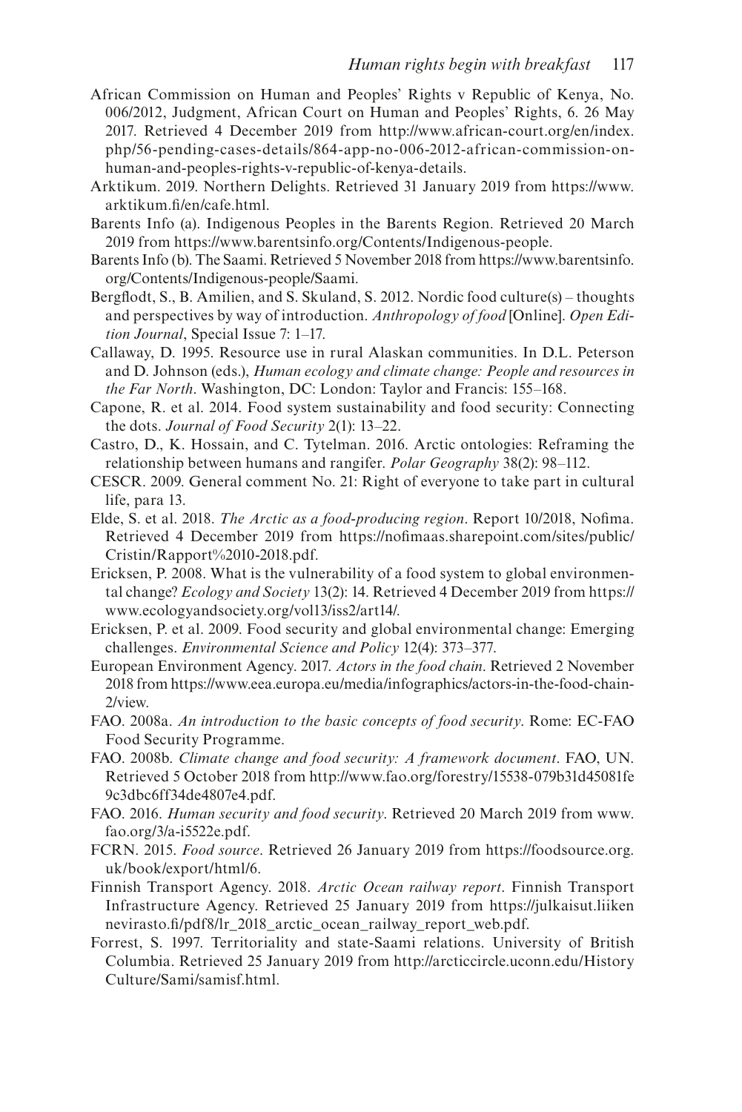- African Commission on Human and Peoples' Rights v Republic of Kenya, No. 006/2012, Judgment, African Court on Human and Peoples' Rights, 6. 26 May 2017. Retrieved 4 December 2019 from [http://www.african-court.org/en/index.](http://www.african-court.org) [php/56-pending-cases-details/864-app-no-006-2012-african-commission-on](http://www.african-court.org)[human-and-peoples-rights-v-republic-of-kenya-details.](http://www.african-court.org)
- Arktikum. 2019. Northern Delights. Retrieved 31 January 2019 from [https://www.](https://www.arktikum.fi) [arktikum.f/en/cafe.html](https://www.arktikum.fi).
- Barents Info (a). Indigenous Peoples in the Barents Region. Retrieved 20 March 2019 from [https://www.barentsinfo.org/Contents/Indigenous-people.](https://www.barentsinfo.org)
- Barents Info (b). The Saami. Retrieved 5 November 2018 from [https://www.barentsinfo.](https://www.barentsinfo.org) [org/Contents/Indigenous-people/Saami.](https://www.barentsinfo.org)
- Bergfodt, S., B. Amilien, and S. Skuland, S. 2012. Nordic food culture(s) thoughts and perspectives by way of introduction. *Anthropology of food* [Online]. *Open Edition Journal*, Special Issue 7: 1–17.
- Callaway, D. 1995. Resource use in rural Alaskan communities. In D.L. Peterson and D. Johnson (eds.), *Human ecology and climate change: People and resources in the Far North*. Washington, DC: London: Taylor and Francis: 155–168.
- Capone, R. et al. 2014. Food system sustainability and food security: Connecting the dots. *Journal of Food Security* 2(1): 13–22.
- Castro, D., K. Hossain, and C. Tytelman. 2016. Arctic ontologies: Reframing the relationship between humans and rangifer. *Polar Geography* 38(2): 98–112.
- CESCR. 2009. General comment No. 21: Right of everyone to take part in cultural life, para 13.
- Elde, S. et al. 2018. *The Arctic as a food-producing region*. Report 10/2018, Nofma. Retrieved 4 December 2019 from [https://nofmaas.sharepoint.com/sites/public](https://nofimaas.sharepoint.com)/ [Cristin/Rapport%2010-2018.pdf.](https://nofimaas.sharepoint.com)
- Ericksen, P. 2008. What is the vulnerability of a food system to global environmental change? *Ecology and Society* 13(2): 14. Retrieved 4 December 2019 from [https://](https://www.ecologyandsociety.org) [www.ecologyandsociety.org/vol13/iss2/art14/.](https://www.ecologyandsociety.org)
- Ericksen, P. et al. 2009. Food security and global environmental change: Emerging challenges. *Environmental Science and Policy* 12(4): 373–377.
- European Environment Agency. 2017. *Actors in the food chain*. Retrieved 2 November 2018 fro[m https://www.eea.europa.eu/media/infographics/actors-in-the-food-chain-](https://www.eea.europa.eu)[2/view.](https://www.eea.europa.eu)
- FAO. 2008a. *An introduction to the basic concepts of food security*. Rome: EC-FAO Food Security Programme.
- FAO. 2008b. *Climate change and food security: A framework document*. FAO, UN. Retrieved 5 October 2018 from [http://www.fao.org/forestry/15538-079b31d45081fe](http://www.fao.org) 9c3dbc6ff34de4807e4.pdf.
- FAO. 2016. *Human security and food security*. Retrieved 20 March 2019 from [www.](http://www.fao.org) [fao.org/3/a-i5522e.pdf.](http://www.fao.org)
- FCRN. 2015. *Food source*. Retrieved 26 January 2019 from [https://foodsource.org.](https://foodsource.org.uk) [uk/book/export/html/6.](https://foodsource.org.uk)
- Finnish Transport Agency. 2018. *Arctic Ocean railway report*. Finnish Transport Infrastructure Agency. Retrieved 25 January 2019 from<https://julkaisut.liiken> [nevirasto.f/pdf8/lr\\_](http://nevirasto.fi)2018\_arctic\_ocean\_railway\_report\_web.pdf.
- Forrest, S. 1997. Territoriality and state-Saami relations. University of British Columbia. Retrieved 25 January 2019 from [http://arcticcircle.uconn.edu/History](http://arcticcircle.uconn.edu) [Culture/Sami/samisf.html.](Culture/Sami/samisf.html)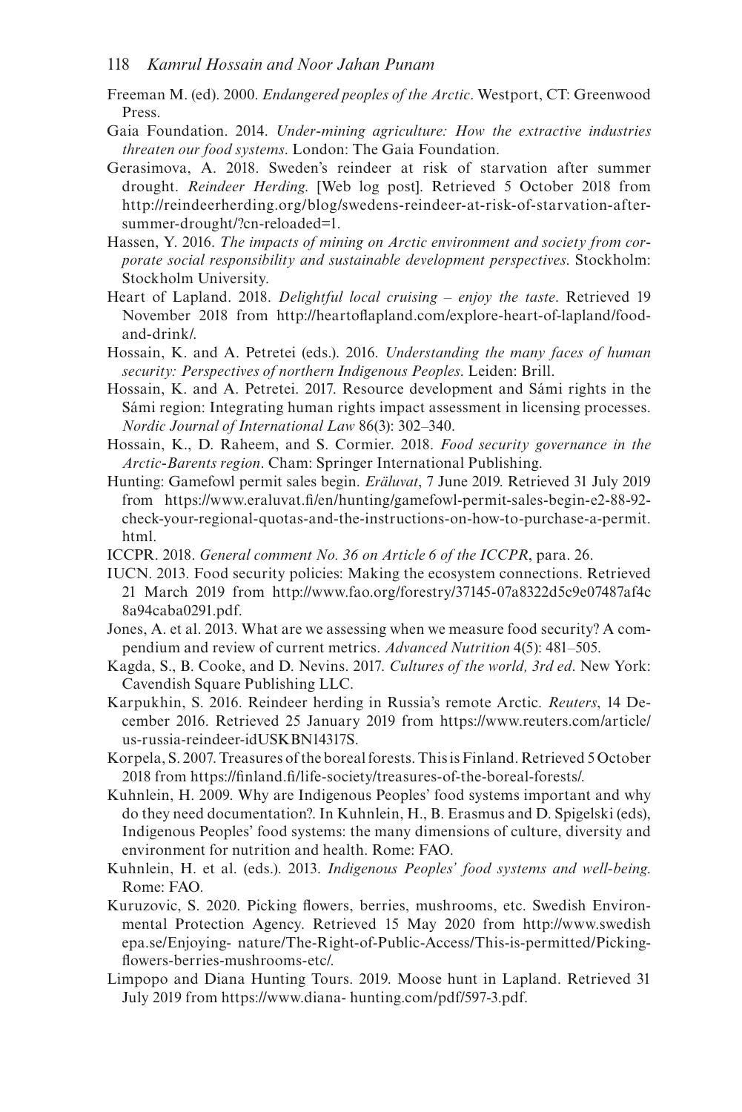- Freeman M. (ed). 2000. *Endangered peoples of the Arctic*. Westport, CT: Greenwood Press.
- Gaia Foundation. 2014. *Under-mining agriculture: How the extractive industries threaten our food systems*. London: The Gaia Foundation.
- Gerasimova, A. 2018. Sweden's reindeer at risk of starvation after summer drought. *Reindeer Herding*. [Web log post]. Retrieved 5 October 2018 from [http://reindeerherding.org/blog/swedens-reindeer-at-risk-of-starvation-after](http://reindeerherding.org)[summer-drought/?cn-reloaded=1.](http://reindeerherding.org)
- Hassen, Y. 2016. *The impacts of mining on Arctic environment and society from corporate social responsibility and sustainable development perspectives*. Stockholm: Stockholm University.
- Heart of Lapland. 2018. *Delightful local cruising enjoy the taste*. Retrieved 19 November 2018 from [http://heartofapland.com/explore-heart-of-lapland/food](http://heartoflapland.com)[and-drink/.](http://heartoflapland.com)
- Hossain, K. and A. Petretei (eds.). 2016. *Understanding the many faces of human security: Perspectives of northern Indigenous Peoples*. Leiden: Brill.
- Hossain, K. and A. Petretei. 2017. Resource development and Sámi rights in the Sámi region: Integrating human rights impact assessment in licensing processes. *Nordic Journal of International Law* 86(3): 302–340.
- Hossain, K., D. Raheem, and S. Cormier. 2018. *Food security governance in the Arctic-Barents region*. Cham: Springer International Publishing.
- Hunting: Gamefowl permit sales begin. *Eräluvat*, 7 June 2019. Retrieved 31 July 2019 from [https://www.eraluvat.f/en/hunting/gamefowl-permit-sales-begin-e2-88-92](https://www.eraluvat.fi) [check-your-regional-quotas-and-the-instructions-on-how-to-purchase-a-permit.](https://www.eraluvat.fi) [html.](https://www.eraluvat.fi)
- ICCPR. 2018. *General comment No. 36 on Article 6 of the ICCPR*, para. 26.
- IUCN. 2013. Food security policies: Making the ecosystem connections. Retrieved 21 March 2019 from [http://www.fao.org/forestry/37145-07a8322d5c9e07487af4c](http://www.fao.org) 8a94caba0291.pdf.
- Jones, A. et al. 2013. What are we assessing when we measure food security? A compendium and review of current metrics. *Advanced Nutrition* 4(5): 481–505.
- Kagda, S., B. Cooke, and D. Nevins. 2017. *Cultures of the world, 3rd ed*. New York: Cavendish Square Publishing LLC.
- Karpukhin, S. 2016. Reindeer herding in Russia's remote Arctic. *Reuters*, 14 December 2016. Retrieved 25 January 2019 from [https://www.reuters.com/article/](https://www.reuters.com) [us-russia-reindeer-idUSKBN14317S.](https://www.reuters.com)
- Korpela, S. 2007. Treasures of the boreal forests. This is Finland. Retrieved 5 October 2018 from [https://fnland.f/life-society/treasures-of-the-boreal-forest](https://finland.fi)s/.
- Kuhnlein, H. 2009. Why are Indigenous Peoples' food systems important and why do they need documentation?. In Kuhnlein, H., B. Erasmus and D. Spigelski (eds), Indigenous Peoples' food systems: the many dimensions of culture, diversity and environment for nutrition and health. Rome: FAO.
- Kuhnlein, H. et al. (eds.). 2013. *Indigenous Peoples' food systems and well-being*. Rome: FAO.
- Kuruzovic, S. 2020. Picking fowers, berries, mushrooms, etc. Swedish Environmental Protection Agency. Retrieved 15 May 2020 from <http://www.swedish> [epa.se/Enjoying-](http://epa.se) nature/The-Right-of-Public-Access/This-is-permitted/Pickingfowers-berries-mushrooms-etc/.
- Limpopo and Diana Hunting Tours. 2019. Moose hunt in Lapland. Retrieved 31 July 2019 from [https://www.diana- hunting.com/pdf/597-3.pdf.](https://www.diana-hunting.com)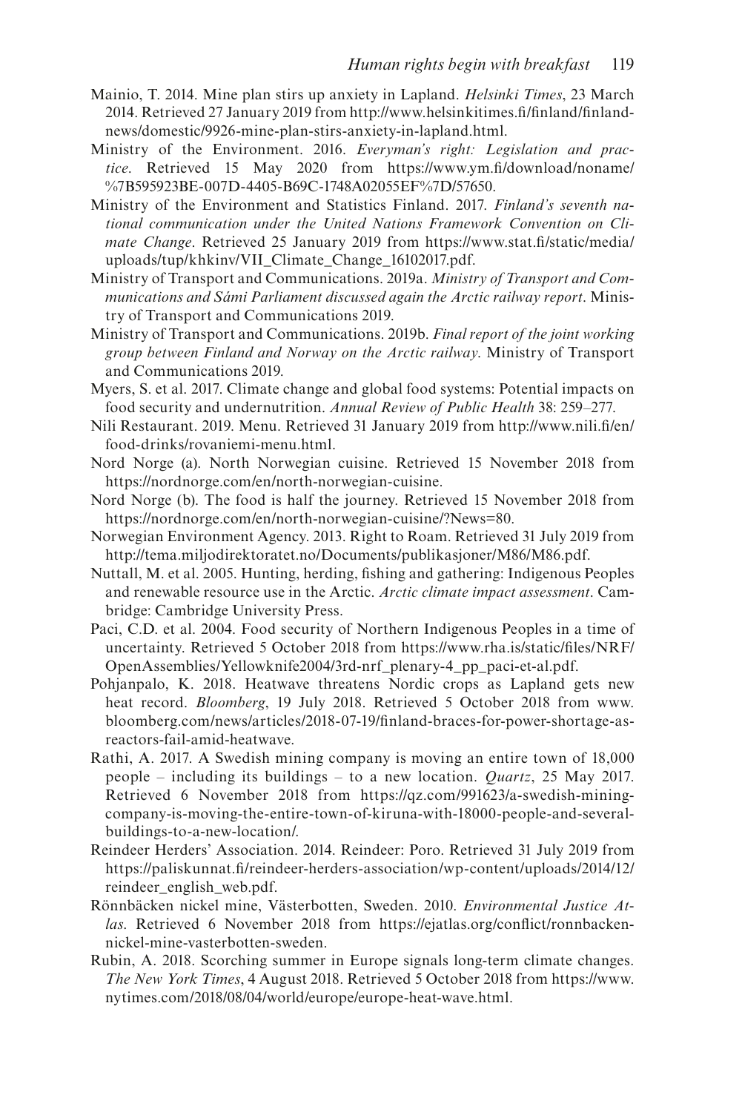- Mainio, T. 2014. Mine plan stirs up anxiety in Lapland. *Helsinki Times*, 23 March 2014. Retrieved 27 January 2019 from [http://www.helsinkitimes.f/fnland/f](http://www.helsinkitimes.fi)nland[news/domestic/9926-mine-plan-stirs-anxiety-in-lapland.html.](http://news)
- Ministry of the Environment. 2016. *Everyman's right: Legislation and practice*. Retrieved 15 May 2020 from [https://www.ym.f/download/noname/](https://www.ym.fi) %7B595923BE-007D-4405-B69C-1748A02055EF%7D/57650.
- Ministry of the Environment and Statistics Finland. 2017. *Finland's seventh national communication under the United Nations Framework Convention on Climate Change*. Retrieved 25 January 2019 from [https://www.stat.f/static/media](https://www.stat.fi)/ [uploads/tup/khkinv/VII\\_Climate\\_Change\\_16102017.pdf.](https://www.stat.fi)
- Ministry of Transport and Communications. 2019a. *Ministry of Transport and Communications and Sámi Parliament discussed again the Arctic railway report*. Ministry of Transport and Communications 2019.
- Ministry of Transport and Communications. 2019b. *Final report of the joint working group between Finland and Norway on the Arctic railway*. Ministry of Transport and Communications 2019.
- Myers, S. et al. 2017. Climate change and global food systems: Potential impacts on food security and undernutrition. *Annual Review of Public Health* 38: 259–277.
- Nili Restaurant. 2019. Menu. Retrieved 31 January 2019 from [http://www.nili.f/en](http://www.nili.fi)/ [food-drinks/rovaniemi-menu.html.](http://www.nili.fi)
- Nord Norge (a). North Norwegian cuisine. Retrieved 15 November 2018 from [https://nordnorge.com/en/north-norwegian-cuisine.](https://nordnorge.com)
- Nord Norge (b). The food is half the journey. Retrieved 15 November 2018 from [https://nordnorge.com/en/north-norwegian-cuisine/?News=80.](https://nordnorge.com)
- Norwegian Environment Agency. 2013. Right to Roam. Retrieved 31 July 2019 from [http://tema.miljodirektoratet.no/Documents/publikasjoner/M86/M86.pdf.](http://tema.miljodirektoratet.no)
- Nuttall, M. et al. 2005. Hunting, herding, fshing and gathering: Indigenous Peoples and renewable resource use in the Arctic. *Arctic climate impact assessment*. Cambridge: Cambridge University Press.
- Paci, C.D. et al. 2004. Food security of Northern Indigenous Peoples in a time of uncertainty. Retrieved 5 October 2018 from [https://www.rha.is/static/fles/NRF](https://www.rha.is)/ [OpenAssemblies/Yellowknife2004/3rd-nrf\\_plenary-4\\_pp\\_paci-et-al.pdf.](https://www.rha.is)
- Pohjanpalo, K. 2018. Heatwave threatens Nordic crops as Lapland gets new heat record. *Bloomberg*, 19 July 2018. Retrieved 5 October 2018 from [www.](http://www.bloomberg.com) [bloomberg.com/news/articles/2018-07-19/fnland-braces-for-power-shortage-as](http://www.bloomberg.com)[reactors-fail-amid-heatwave.](http://www.bloomberg.com)
- Rathi, A. 2017. A Swedish mining company is moving an entire town of 18,000 people – including its buildings – to a new location. *Quartz*, 25 May 2017. Retrieved 6 November 2018 from [https://qz.com/991623/a-swedish-mining](https://qz.com)[company-is-moving-the-entire-town-of-kiruna-with-18000-people-and-several](https://qz.com)[buildings-to-a-new-location/.](https://qz.com)
- Reindeer Herders' Association. 2014. Reindeer: Poro. Retrieved 31 July 2019 from [https://paliskunnat.f/reindeer-herders-association/wp-content/uploads/2014/12](https://paliskunnat.fi)/ [reindeer\\_english\\_web.pdf.](https://paliskunnat.fi)
- Rönnbäcken nickel mine, Västerbotten, Sweden. 2010. *Environmental Justice Atlas*. Retrieved 6 November 2018 from [https://ejatlas.org/confict/ronnbacken](https://ejatlas.org)[nickel-mine-vasterbotten-sweden.](https://ejatlas.org)
- Rubin, A. 2018. Scorching summer in Europe signals long-term climate changes. *The New York Times*, 4 August 2018. Retrieved 5 October 2018 from [https://www.](https://www.nytimes.com) [nytimes.com/2018/08/04/world/europe/europe-heat-wave.html.](https://www.nytimes.com)